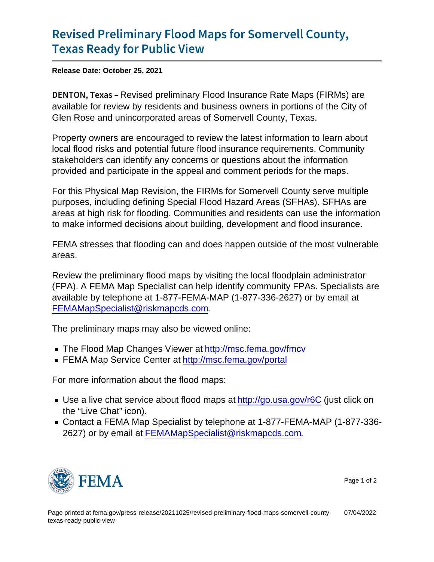## [Revised Preliminary Flood Maps](https://www.fema.gov/press-release/20211025/revised-preliminary-flood-maps-somervell-county-texas-ready-public-view) for Some [Texas Ready for](https://www.fema.gov/press-release/20211025/revised-preliminary-flood-maps-somervell-county-texas-ready-public-view) Public View

Release Date: October 25, 2021

DENTON, Revissed preliminary Flood Insurance Rate Maps (FIRMs) are available for review by residents and business owners in portions of the City of Glen Rose and unincorporated areas of Somervell County, Texas.

Property owners are encouraged to review the latest information to learn about local flood risks and potential future flood insurance requirements. Community stakeholders can identify any concerns or questions about the information provided and participate in the appeal and comment periods for the maps.

For this Physical Map Revision, the FIRMs for Somervell County serve multiple purposes, including defining Special Flood Hazard Areas (SFHAs). SFHAs are areas at high risk for flooding. Communities and residents can use the information to make informed decisions about building, development and flood insurance.

FEMA stresses that flooding can and does happen outside of the most vulnerable areas.

Review the preliminary flood maps by visiting the local floodplain administrator (FPA). A FEMA Map Specialist can help identify community FPAs. Specialists are available by telephone at 1-877-FEMA-MAP (1-877-336-2627) or by email at [FEMAMapSpecialist@riskmapcds.com](mailto:FEMAMapSpecialist@riskmapcds.com).

The preliminary maps may also be viewed online:

- The Flood Map Changes Viewer at<http://msc.fema.gov/fmcv>
- FEMA Map Service Center at<http://msc.fema.gov/portal>

For more information about the flood maps:

- Use a live chat service about flood maps at<http://go.usa.gov/r6C> (just click on the "Live Chat" icon).
- Contact a FEMA Map Specialist by telephone at 1-877-FEMA-MAP (1-877-336- 2627) or by email at [FEMAMapSpecialist@riskmapcds.com.](mailto:FEMAMapSpecialist@riskmapcds.com)



Page 1 of 2